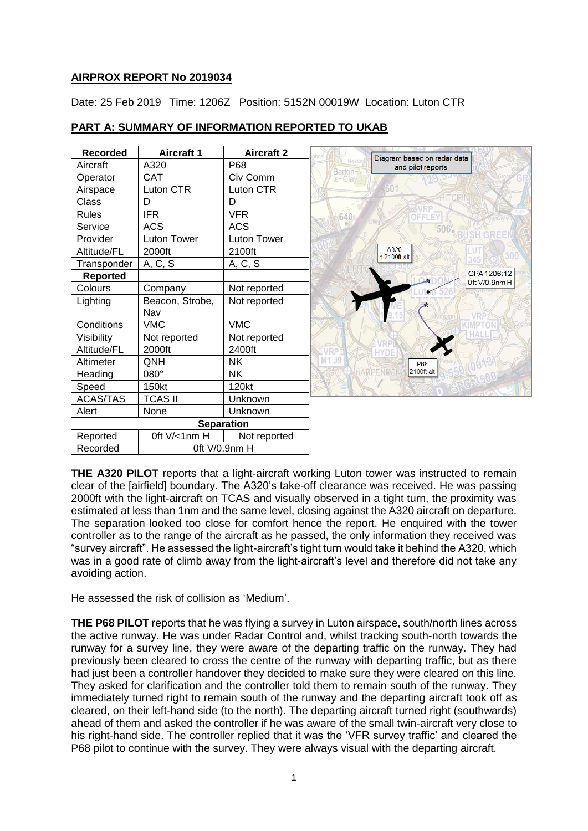### **AIRPROX REPORT No 2019034**

Date: 25 Feb 2019 Time: 1206Z Position: 5152N 00019W Location: Luton CTR

| <b>Recorded</b> | <b>Aircraft 1</b>      | <b>Aircraft 2</b> |                                                            |
|-----------------|------------------------|-------------------|------------------------------------------------------------|
| Aircraft        | A320                   | P68               | Diagram based on radar data<br>Hexton<br>and pilot reports |
| Operator        | CAT                    | Civ Comm          | Barton-<br>le-Clay                                         |
| Airspace        | Luton CTR              | Luton CTR         | 60 <sup>1</sup>                                            |
| Class           | D                      | D                 |                                                            |
| <b>Rules</b>    | <b>IFR</b>             | <b>VFR</b>        | 640<br>OFFLEY                                              |
| Service         | <b>ACS</b>             | <b>ACS</b>        | $506$ <sub>kp</sub>                                        |
| Provider        | Luton Tower            | Luton Tower       | GREE                                                       |
| Altitude/FL     | 2000ft                 | 2100ft            | A320<br>2100ft alt                                         |
| Transponder     | A, C, S                | A, C, S           |                                                            |
| <b>Reported</b> |                        |                   | CPA 1206:12<br>Oft V/0.9nmH                                |
| Colours         | Company                | Not reported      |                                                            |
| Lighting        | Beacon, Strobe,<br>Nav | Not reported      |                                                            |
| Conditions      | <b>VMC</b>             | <b>VMC</b>        |                                                            |
| Visibility      | Not reported           | Not reported      |                                                            |
| Altitude/FL     | 2000ft                 | 2400ft            | VRP                                                        |
| Altimeter       | QNH                    | <b>NK</b>         | M1 J9<br>P68                                               |
| Heading         | 080°                   | <b>NK</b>         | HARPEND<br>2100ft alt                                      |
| Speed           | 150kt                  | 120kt             |                                                            |
| <b>ACAS/TAS</b> | <b>TCAS II</b>         | Unknown           |                                                            |
| Alert           | None                   | Unknown           |                                                            |
|                 |                        | <b>Separation</b> |                                                            |
| Reported        | Oft V/<1nm H           | Not reported      |                                                            |
| Recorded        | Oft V/0.9nm H          |                   |                                                            |

## **PART A: SUMMARY OF INFORMATION REPORTED TO UKAB**

**THE A320 PILOT** reports that a light-aircraft working Luton tower was instructed to remain clear of the [airfield] boundary. The A320's take-off clearance was received. He was passing 2000ft with the light-aircraft on TCAS and visually observed in a tight turn, the proximity was estimated at less than 1nm and the same level, closing against the A320 aircraft on departure. The separation looked too close for comfort hence the report. He enquired with the tower controller as to the range of the aircraft as he passed, the only information they received was "survey aircraft". He assessed the light-aircraft's tight turn would take it behind the A320, which was in a good rate of climb away from the light-aircraft's level and therefore did not take any avoiding action.

He assessed the risk of collision as 'Medium'.

**THE P68 PILOT** reports that he was flying a survey in Luton airspace, south/north lines across the active runway. He was under Radar Control and, whilst tracking south-north towards the runway for a survey line, they were aware of the departing traffic on the runway. They had previously been cleared to cross the centre of the runway with departing traffic, but as there had just been a controller handover they decided to make sure they were cleared on this line. They asked for clarification and the controller told them to remain south of the runway. They immediately turned right to remain south of the runway and the departing aircraft took off as cleared, on their left-hand side (to the north). The departing aircraft turned right (southwards) ahead of them and asked the controller if he was aware of the small twin-aircraft very close to his right-hand side. The controller replied that it was the 'VFR survey traffic' and cleared the P68 pilot to continue with the survey. They were always visual with the departing aircraft.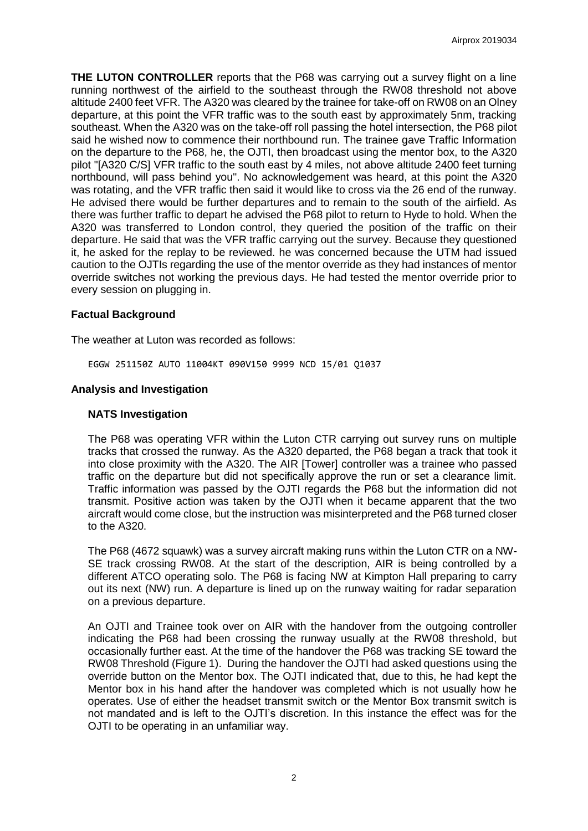**THE LUTON CONTROLLER** reports that the P68 was carrying out a survey flight on a line running northwest of the airfield to the southeast through the RW08 threshold not above altitude 2400 feet VFR. The A320 was cleared by the trainee for take-off on RW08 on an Olney departure, at this point the VFR traffic was to the south east by approximately 5nm, tracking southeast. When the A320 was on the take-off roll passing the hotel intersection, the P68 pilot said he wished now to commence their northbound run. The trainee gave Traffic Information on the departure to the P68, he, the OJTI, then broadcast using the mentor box, to the A320 pilot "[A320 C/S] VFR traffic to the south east by 4 miles, not above altitude 2400 feet turning northbound, will pass behind you". No acknowledgement was heard, at this point the A320 was rotating, and the VFR traffic then said it would like to cross via the 26 end of the runway. He advised there would be further departures and to remain to the south of the airfield. As there was further traffic to depart he advised the P68 pilot to return to Hyde to hold. When the A320 was transferred to London control, they queried the position of the traffic on their departure. He said that was the VFR traffic carrying out the survey. Because they questioned it, he asked for the replay to be reviewed. he was concerned because the UTM had issued caution to the OJTIs regarding the use of the mentor override as they had instances of mentor override switches not working the previous days. He had tested the mentor override prior to every session on plugging in.

### **Factual Background**

The weather at Luton was recorded as follows:

EGGW 251150Z AUTO 11004KT 090V150 9999 NCD 15/01 Q1037

### **Analysis and Investigation**

#### **NATS Investigation**

The P68 was operating VFR within the Luton CTR carrying out survey runs on multiple tracks that crossed the runway. As the A320 departed, the P68 began a track that took it into close proximity with the A320. The AIR [Tower] controller was a trainee who passed traffic on the departure but did not specifically approve the run or set a clearance limit. Traffic information was passed by the OJTI regards the P68 but the information did not transmit. Positive action was taken by the OJTI when it became apparent that the two aircraft would come close, but the instruction was misinterpreted and the P68 turned closer to the A320.

The P68 (4672 squawk) was a survey aircraft making runs within the Luton CTR on a NW-SE track crossing RW08. At the start of the description, AIR is being controlled by a different ATCO operating solo. The P68 is facing NW at Kimpton Hall preparing to carry out its next (NW) run. A departure is lined up on the runway waiting for radar separation on a previous departure.

An OJTI and Trainee took over on AIR with the handover from the outgoing controller indicating the P68 had been crossing the runway usually at the RW08 threshold, but occasionally further east. At the time of the handover the P68 was tracking SE toward the RW08 Threshold (Figure 1). During the handover the OJTI had asked questions using the override button on the Mentor box. The OJTI indicated that, due to this, he had kept the Mentor box in his hand after the handover was completed which is not usually how he operates. Use of either the headset transmit switch or the Mentor Box transmit switch is not mandated and is left to the OJTI's discretion. In this instance the effect was for the OJTI to be operating in an unfamiliar way.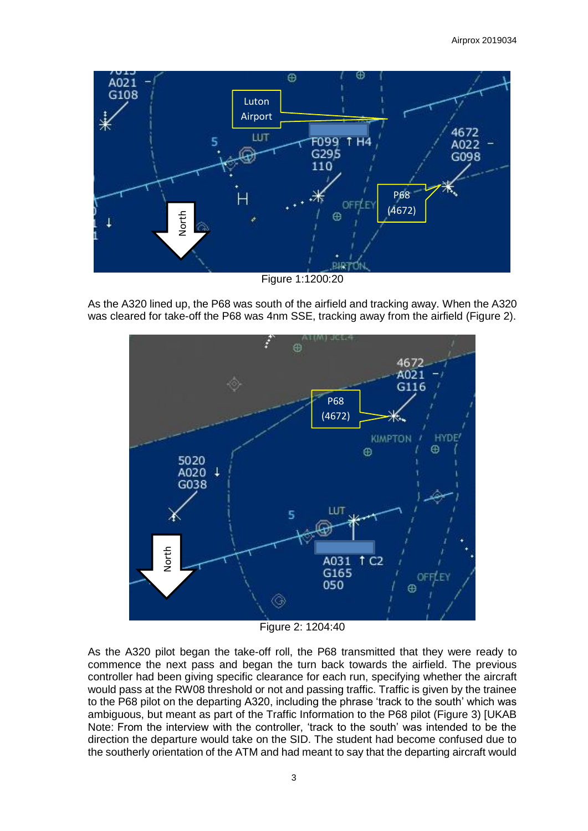

As the A320 lined up, the P68 was south of the airfield and tracking away. When the A320 was cleared for take-off the P68 was 4nm SSE, tracking away from the airfield (Figure 2).



Figure 2: 1204:40

As the A320 pilot began the take-off roll, the P68 transmitted that they were ready to commence the next pass and began the turn back towards the airfield. The previous controller had been giving specific clearance for each run, specifying whether the aircraft would pass at the RW08 threshold or not and passing traffic. Traffic is given by the trainee to the P68 pilot on the departing A320, including the phrase 'track to the south' which was ambiguous, but meant as part of the Traffic Information to the P68 pilot (Figure 3) [UKAB Note: From the interview with the controller, 'track to the south' was intended to be the direction the departure would take on the SID. The student had become confused due to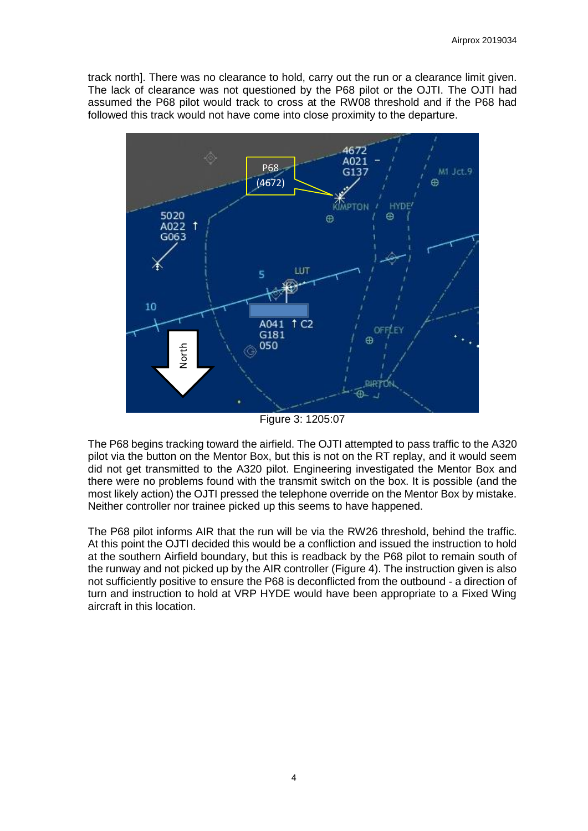track north]. There was no clearance to hold, carry out the run or a clearance limit given. The lack of clearance was not questioned by the P68 pilot or the OJTI. The OJTI had assumed the P68 pilot would track to cross at the RW08 threshold and if the P68 had followed this track would not have come into close proximity to the departure.



Figure 3: 1205:07

The P68 begins tracking toward the airfield. The OJTI attempted to pass traffic to the A320 pilot via the button on the Mentor Box, but this is not on the RT replay, and it would seem did not get transmitted to the A320 pilot. Engineering investigated the Mentor Box and there were no problems found with the transmit switch on the box. It is possible (and the most likely action) the OJTI pressed the telephone override on the Mentor Box by mistake. Neither controller nor trainee picked up this seems to have happened.

The P68 pilot informs AIR that the run will be via the RW26 threshold, behind the traffic. At this point the OJTI decided this would be a confliction and issued the instruction to hold at the southern Airfield boundary, but this is readback by the P68 pilot to remain south of the runway and not picked up by the AIR controller (Figure 4). The instruction given is also not sufficiently positive to ensure the P68 is deconflicted from the outbound - a direction of turn and instruction to hold at VRP HYDE would have been appropriate to a Fixed Wing aircraft in this location.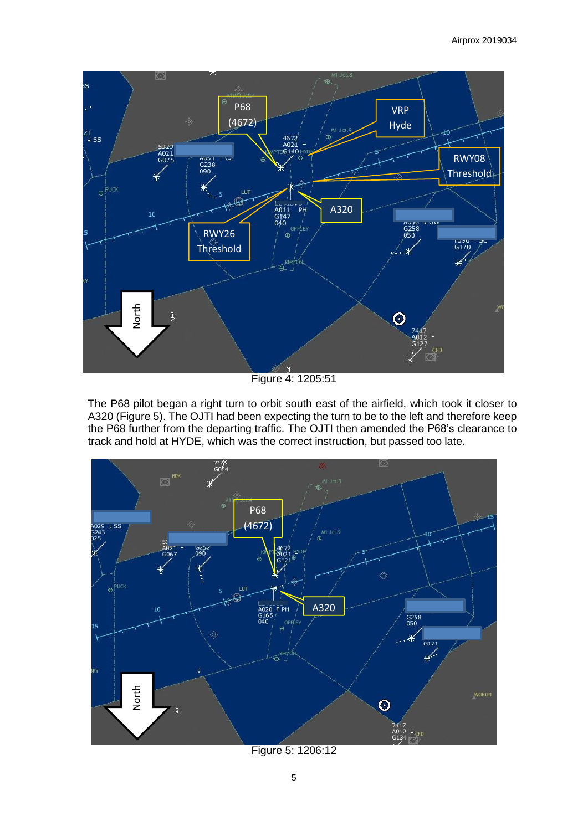

Figure 4: 1205:51

The P68 pilot began a right turn to orbit south east of the airfield, which took it closer to A320 (Figure 5). The OJTI had been expecting the turn to be to the left and therefore keep the P68 further from the departing traffic. The OJTI then amended the P68's clearance to track and hold at HYDE, which was the correct instruction, but passed too late.



Figure 5: 1206:12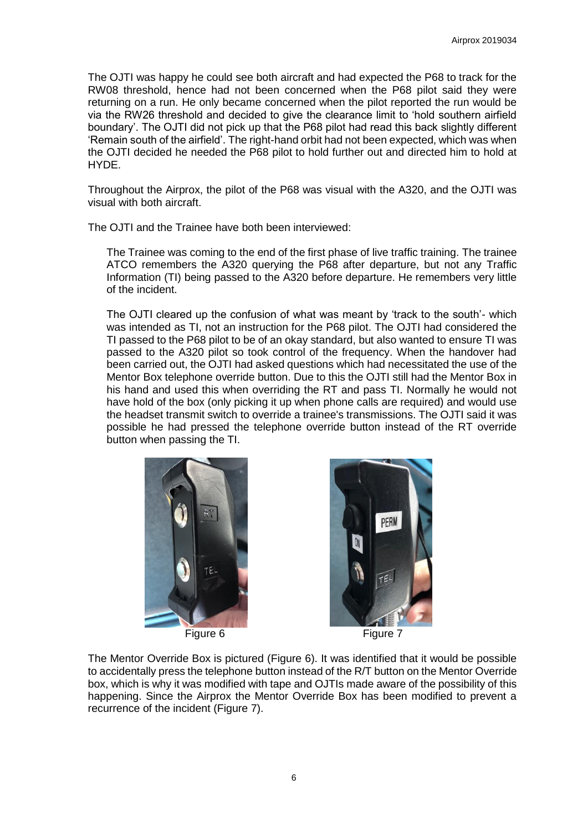The OJTI was happy he could see both aircraft and had expected the P68 to track for the RW08 threshold, hence had not been concerned when the P68 pilot said they were returning on a run. He only became concerned when the pilot reported the run would be via the RW26 threshold and decided to give the clearance limit to 'hold southern airfield boundary'. The OJTI did not pick up that the P68 pilot had read this back slightly different 'Remain south of the airfield'. The right-hand orbit had not been expected, which was when the OJTI decided he needed the P68 pilot to hold further out and directed him to hold at HYDE.

Throughout the Airprox, the pilot of the P68 was visual with the A320, and the OJTI was visual with both aircraft.

The OJTI and the Trainee have both been interviewed:

The Trainee was coming to the end of the first phase of live traffic training. The trainee ATCO remembers the A320 querying the P68 after departure, but not any Traffic Information (TI) being passed to the A320 before departure. He remembers very little of the incident.

The OJTI cleared up the confusion of what was meant by 'track to the south'- which was intended as TI, not an instruction for the P68 pilot. The OJTI had considered the TI passed to the P68 pilot to be of an okay standard, but also wanted to ensure TI was passed to the A320 pilot so took control of the frequency. When the handover had been carried out, the OJTI had asked questions which had necessitated the use of the Mentor Box telephone override button. Due to this the OJTI still had the Mentor Box in his hand and used this when overriding the RT and pass TI. Normally he would not have hold of the box (only picking it up when phone calls are required) and would use the headset transmit switch to override a trainee's transmissions. The OJTI said it was possible he had pressed the telephone override button instead of the RT override button when passing the TI.





The Mentor Override Box is pictured (Figure 6). It was identified that it would be possible to accidentally press the telephone button instead of the R/T button on the Mentor Override box, which is why it was modified with tape and OJTIs made aware of the possibility of this happening. Since the Airprox the Mentor Override Box has been modified to prevent a recurrence of the incident (Figure 7).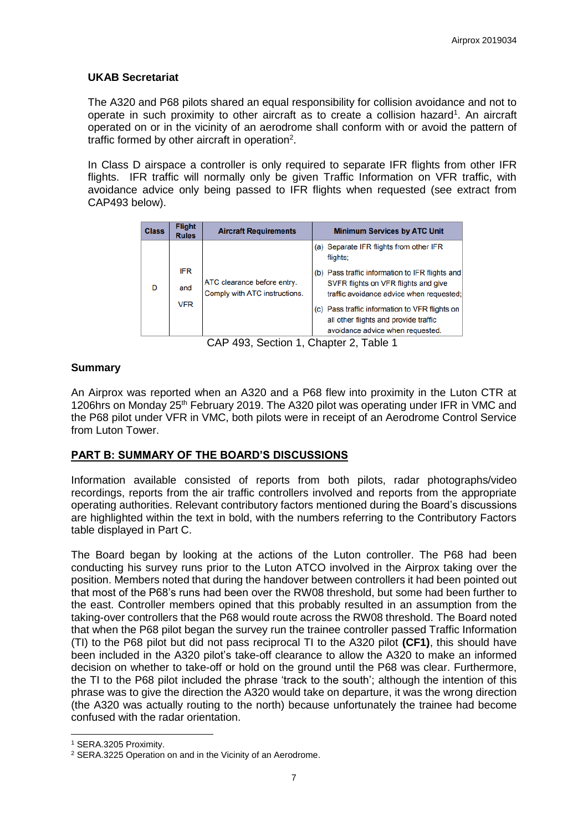### **UKAB Secretariat**

The A320 and P68 pilots shared an equal responsibility for collision avoidance and not to operate in such proximity to other aircraft as to create a collision hazard<sup>1</sup>. An aircraft operated on or in the vicinity of an aerodrome shall conform with or avoid the pattern of traffic formed by other aircraft in operation<sup>2</sup>.

In Class D airspace a controller is only required to separate IFR flights from other IFR flights. IFR traffic will normally only be given Traffic Information on VFR traffic, with avoidance advice only being passed to IFR flights when requested (see extract from CAP493 below).

| <b>Class</b> | <b>Flight</b><br><b>Rules</b> | <b>Aircraft Requirements</b>                                 | <b>Minimum Services by ATC Unit</b>                                                                                         |
|--------------|-------------------------------|--------------------------------------------------------------|-----------------------------------------------------------------------------------------------------------------------------|
| D            |                               | ATC clearance before entry.<br>Comply with ATC instructions. | (a) Separate IFR flights from other IFR<br>flights;                                                                         |
|              | <b>IFR</b>                    |                                                              | (b) Pass traffic information to IFR flights and                                                                             |
|              | and                           |                                                              | SVFR flights on VFR flights and give<br>traffic avoidance advice when requested;                                            |
|              | <b>VFR</b>                    |                                                              | (c) Pass traffic information to VFR flights on<br>all other flights and provide traffic<br>avoidance advice when requested. |

CAP 493, Section 1, Chapter 2, Table 1

### **Summary**

An Airprox was reported when an A320 and a P68 flew into proximity in the Luton CTR at 1206hrs on Monday 25<sup>th</sup> February 2019. The A320 pilot was operating under IFR in VMC and the P68 pilot under VFR in VMC, both pilots were in receipt of an Aerodrome Control Service from Luton Tower.

### **PART B: SUMMARY OF THE BOARD'S DISCUSSIONS**

Information available consisted of reports from both pilots, radar photographs/video recordings, reports from the air traffic controllers involved and reports from the appropriate operating authorities. Relevant contributory factors mentioned during the Board's discussions are highlighted within the text in bold, with the numbers referring to the Contributory Factors table displayed in Part C.

The Board began by looking at the actions of the Luton controller. The P68 had been conducting his survey runs prior to the Luton ATCO involved in the Airprox taking over the position. Members noted that during the handover between controllers it had been pointed out that most of the P68's runs had been over the RW08 threshold, but some had been further to the east. Controller members opined that this probably resulted in an assumption from the taking-over controllers that the P68 would route across the RW08 threshold. The Board noted that when the P68 pilot began the survey run the trainee controller passed Traffic Information (TI) to the P68 pilot but did not pass reciprocal TI to the A320 pilot **(CF1)**, this should have been included in the A320 pilot's take-off clearance to allow the A320 to make an informed decision on whether to take-off or hold on the ground until the P68 was clear. Furthermore, the TI to the P68 pilot included the phrase 'track to the south'; although the intention of this phrase was to give the direction the A320 would take on departure, it was the wrong direction (the A320 was actually routing to the north) because unfortunately the trainee had become confused with the radar orientation.

1

<sup>1</sup> SERA.3205 Proximity.

<sup>2</sup> SERA.3225 Operation on and in the Vicinity of an Aerodrome.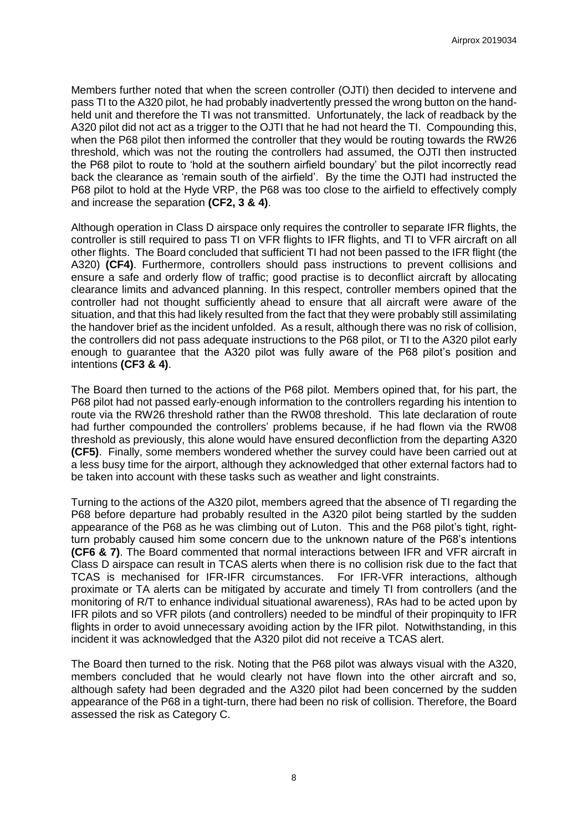Members further noted that when the screen controller (OJTI) then decided to intervene and pass TI to the A320 pilot, he had probably inadvertently pressed the wrong button on the handheld unit and therefore the TI was not transmitted. Unfortunately, the lack of readback by the A320 pilot did not act as a trigger to the OJTI that he had not heard the TI. Compounding this, when the P68 pilot then informed the controller that they would be routing towards the RW26 threshold, which was not the routing the controllers had assumed, the OJTI then instructed the P68 pilot to route to 'hold at the southern airfield boundary' but the pilot incorrectly read back the clearance as 'remain south of the airfield'. By the time the OJTI had instructed the P68 pilot to hold at the Hyde VRP, the P68 was too close to the airfield to effectively comply and increase the separation **(CF2, 3 & 4)**.

Although operation in Class D airspace only requires the controller to separate IFR flights, the controller is still required to pass TI on VFR flights to IFR flights, and TI to VFR aircraft on all other flights. The Board concluded that sufficient TI had not been passed to the IFR flight (the A320) **(CF4)**. Furthermore, controllers should pass instructions to prevent collisions and ensure a safe and orderly flow of traffic; good practise is to deconflict aircraft by allocating clearance limits and advanced planning. In this respect, controller members opined that the controller had not thought sufficiently ahead to ensure that all aircraft were aware of the situation, and that this had likely resulted from the fact that they were probably still assimilating the handover brief as the incident unfolded. As a result, although there was no risk of collision, the controllers did not pass adequate instructions to the P68 pilot, or TI to the A320 pilot early enough to guarantee that the A320 pilot was fully aware of the P68 pilot's position and intentions **(CF3 & 4)**.

The Board then turned to the actions of the P68 pilot. Members opined that, for his part, the P68 pilot had not passed early-enough information to the controllers regarding his intention to route via the RW26 threshold rather than the RW08 threshold. This late declaration of route had further compounded the controllers' problems because, if he had flown via the RW08 threshold as previously, this alone would have ensured deconfliction from the departing A320 **(CF5)**. Finally, some members wondered whether the survey could have been carried out at a less busy time for the airport, although they acknowledged that other external factors had to be taken into account with these tasks such as weather and light constraints.

Turning to the actions of the A320 pilot, members agreed that the absence of TI regarding the P68 before departure had probably resulted in the A320 pilot being startled by the sudden appearance of the P68 as he was climbing out of Luton. This and the P68 pilot's tight, rightturn probably caused him some concern due to the unknown nature of the P68's intentions **(CF6 & 7)**. The Board commented that normal interactions between IFR and VFR aircraft in Class D airspace can result in TCAS alerts when there is no collision risk due to the fact that TCAS is mechanised for IFR-IFR circumstances. For IFR-VFR interactions, although proximate or TA alerts can be mitigated by accurate and timely TI from controllers (and the monitoring of R/T to enhance individual situational awareness), RAs had to be acted upon by IFR pilots and so VFR pilots (and controllers) needed to be mindful of their propinquity to IFR flights in order to avoid unnecessary avoiding action by the IFR pilot. Notwithstanding, in this incident it was acknowledged that the A320 pilot did not receive a TCAS alert.

The Board then turned to the risk. Noting that the P68 pilot was always visual with the A320, members concluded that he would clearly not have flown into the other aircraft and so, although safety had been degraded and the A320 pilot had been concerned by the sudden appearance of the P68 in a tight-turn, there had been no risk of collision. Therefore, the Board assessed the risk as Category C.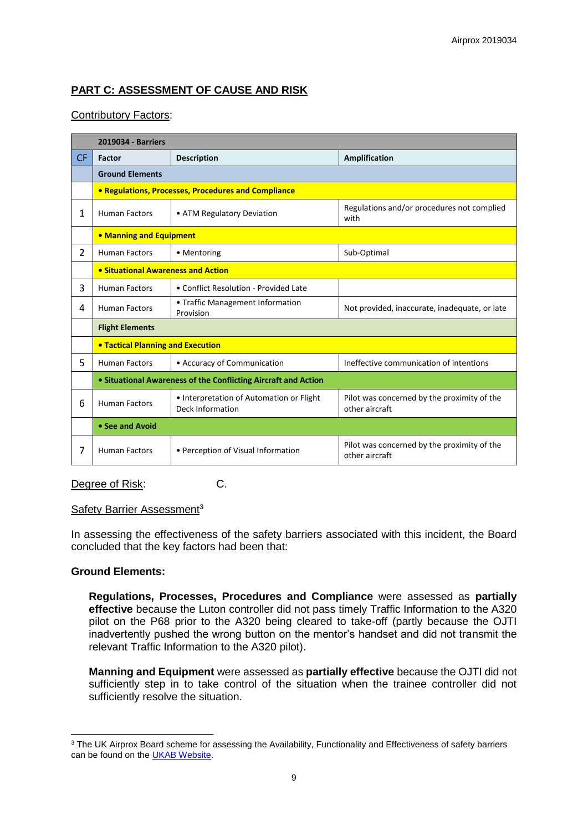# **PART C: ASSESSMENT OF CAUSE AND RISK**

### Contributory Factors:

|           | 2019034 - Barriers                                             |                                                              |                                                               |  |  |  |  |
|-----------|----------------------------------------------------------------|--------------------------------------------------------------|---------------------------------------------------------------|--|--|--|--|
| <b>CF</b> | Factor                                                         | <b>Description</b>                                           | <b>Amplification</b>                                          |  |  |  |  |
|           | <b>Ground Elements</b>                                         |                                                              |                                                               |  |  |  |  |
|           | • Regulations, Processes, Procedures and Compliance            |                                                              |                                                               |  |  |  |  |
| 1         | <b>Human Factors</b>                                           | • ATM Regulatory Deviation                                   | Regulations and/or procedures not complied<br>with            |  |  |  |  |
|           | • Manning and Equipment                                        |                                                              |                                                               |  |  |  |  |
| 2         | <b>Human Factors</b>                                           | • Mentoring                                                  | Sub-Optimal                                                   |  |  |  |  |
|           | • Situational Awareness and Action                             |                                                              |                                                               |  |  |  |  |
| 3         | <b>Human Factors</b>                                           | • Conflict Resolution - Provided Late                        |                                                               |  |  |  |  |
| 4         | <b>Human Factors</b>                                           | • Traffic Management Information<br>Provision                | Not provided, inaccurate, inadequate, or late                 |  |  |  |  |
|           | <b>Flight Elements</b>                                         |                                                              |                                                               |  |  |  |  |
|           | <b>• Tactical Planning and Execution</b>                       |                                                              |                                                               |  |  |  |  |
| 5         | <b>Human Factors</b>                                           | • Accuracy of Communication                                  | Ineffective communication of intentions                       |  |  |  |  |
|           | • Situational Awareness of the Conflicting Aircraft and Action |                                                              |                                                               |  |  |  |  |
| 6         | <b>Human Factors</b>                                           | • Interpretation of Automation or Flight<br>Deck Information | Pilot was concerned by the proximity of the<br>other aircraft |  |  |  |  |
|           | • See and Avoid                                                |                                                              |                                                               |  |  |  |  |
| 7         | <b>Human Factors</b>                                           | • Perception of Visual Information                           | Pilot was concerned by the proximity of the<br>other aircraft |  |  |  |  |

Degree of Risk: C.

#### Safety Barrier Assessment<sup>3</sup>

In assessing the effectiveness of the safety barriers associated with this incident, the Board concluded that the key factors had been that:

#### **Ground Elements:**

**Regulations, Processes, Procedures and Compliance** were assessed as **partially effective** because the Luton controller did not pass timely Traffic Information to the A320 pilot on the P68 prior to the A320 being cleared to take-off (partly because the OJTI inadvertently pushed the wrong button on the mentor's handset and did not transmit the relevant Traffic Information to the A320 pilot).

**Manning and Equipment** were assessed as **partially effective** because the OJTI did not sufficiently step in to take control of the situation when the trainee controller did not sufficiently resolve the situation.

<sup>1</sup> <sup>3</sup> The UK Airprox Board scheme for assessing the Availability, Functionality and Effectiveness of safety barriers can be found on the **UKAB Website**.